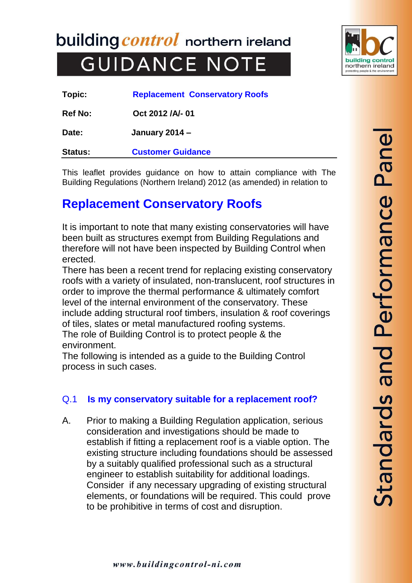building *control* northern ireland  **GUIDANCE NOTE** 



| Topic:         | <b>Replacement Conservatory Roofs</b> |
|----------------|---------------------------------------|
| <b>Ref No:</b> | Oct 2012 /A/- 01                      |
| Date:          | <b>January 2014 –</b>                 |

**Status: Customer Guidance**

This leaflet provides guidance on how to attain compliance with The Building Regulations (Northern Ireland) 2012 (as amended) in relation to

# **Replacement Conservatory Roofs**

It is important to note that many existing conservatories will have been built as structures exempt from Building Regulations and therefore will not have been inspected by Building Control when erected.

There has been a recent trend for replacing existing conservatory roofs with a variety of insulated, non-translucent, roof structures in order to improve the thermal performance & ultimately comfort level of the internal environment of the conservatory. These include adding structural roof timbers, insulation & roof coverings of tiles, slates or metal manufactured roofing systems. The role of Building Control is to protect people & the environment.

The following is intended as a guide to the Building Control process in such cases.

# Q.1 **Is my conservatory suitable for a replacement roof?**

A. Prior to making a Building Regulation application, serious consideration and investigations should be made to establish if fitting a replacement roof is a viable option. The existing structure including foundations should be assessed by a suitably qualified professional such as a structural engineer to establish suitability for additional loadings. Consider if any necessary upgrading of existing structural elements, or foundations will be required. This could prove to be prohibitive in terms of cost and disruption.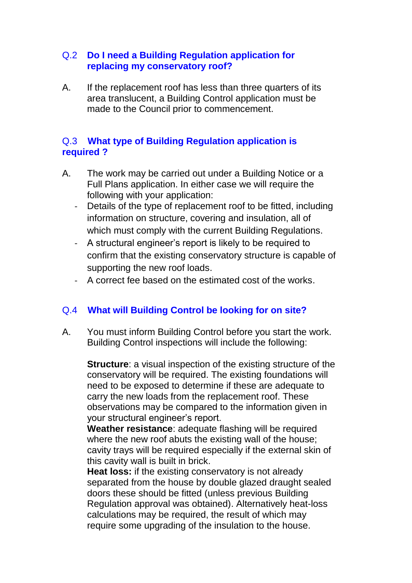### Q.2 **Do I need a Building Regulation application for replacing my conservatory roof?**

A. If the replacement roof has less than three quarters of its area translucent, a Building Control application must be made to the Council prior to commencement.

# Q.3 **What type of Building Regulation application is required ?**

- A. The work may be carried out under a Building Notice or a Full Plans application. In either case we will require the following with your application:
	- Details of the type of replacement roof to be fitted, including information on structure, covering and insulation, all of which must comply with the current Building Regulations.
	- A structural engineer's report is likely to be required to confirm that the existing conservatory structure is capable of supporting the new roof loads.
	- A correct fee based on the estimated cost of the works.

# Q.4 **What will Building Control be looking for on site?**

A. You must inform Building Control before you start the work. Building Control inspections will include the following:

**Structure**: a visual inspection of the existing structure of the conservatory will be required. The existing foundations will need to be exposed to determine if these are adequate to carry the new loads from the replacement roof. These observations may be compared to the information given in your structural engineer's report.

**Weather resistance**: adequate flashing will be required where the new roof abuts the existing wall of the house; cavity trays will be required especially if the external skin of this cavity wall is built in brick.

**Heat loss:** if the existing conservatory is not already separated from the house by double glazed draught sealed doors these should be fitted (unless previous Building Regulation approval was obtained). Alternatively heat-loss calculations may be required, the result of which may require some upgrading of the insulation to the house.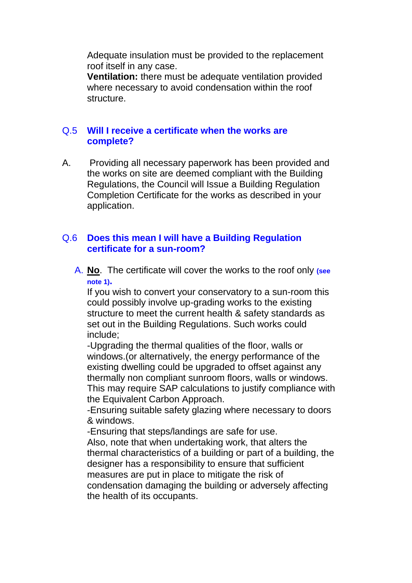Adequate insulation must be provided to the replacement roof itself in any case.

**Ventilation:** there must be adequate ventilation provided where necessary to avoid condensation within the roof structure.

## Q.5 **Will I receive a certificate when the works are complete?**

A. Providing all necessary paperwork has been provided and the works on site are deemed compliant with the Building Regulations, the Council will Issue a Building Regulation Completion Certificate for the works as described in your application.

## Q.6 **Does this mean I will have a Building Regulation certificate for a sun-room?**

A. **No**. The certificate will cover the works to the roof only **(see note 1).**

If you wish to convert your conservatory to a sun-room this could possibly involve up-grading works to the existing structure to meet the current health & safety standards as set out in the Building Regulations. Such works could include;

-Upgrading the thermal qualities of the floor, walls or windows.(or alternatively, the energy performance of the existing dwelling could be upgraded to offset against any thermally non compliant sunroom floors, walls or windows. This may require SAP calculations to justify compliance with the Equivalent Carbon Approach.

-Ensuring suitable safety glazing where necessary to doors & windows.

-Ensuring that steps/landings are safe for use.

Also, note that when undertaking work, that alters the thermal characteristics of a building or part of a building, the designer has a responsibility to ensure that sufficient measures are put in place to mitigate the risk of condensation damaging the building or adversely affecting the health of its occupants.